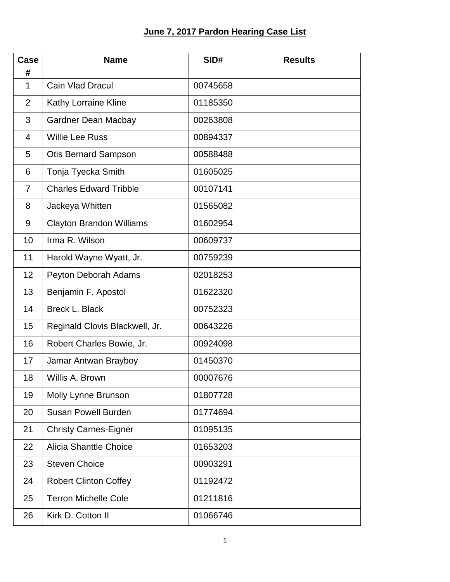## **June 7, 2017 Pardon Hearing Case List**

| Case<br>#      | <b>Name</b>                     | SID#     | <b>Results</b> |
|----------------|---------------------------------|----------|----------------|
| $\mathbf{1}$   | <b>Cain Vlad Dracul</b>         | 00745658 |                |
| $\overline{2}$ | Kathy Lorraine Kline            | 01185350 |                |
| 3              | <b>Gardner Dean Macbay</b>      | 00263808 |                |
| $\overline{4}$ | <b>Willie Lee Russ</b>          | 00894337 |                |
| 5              | <b>Otis Bernard Sampson</b>     | 00588488 |                |
| 6              | Tonja Tyecka Smith              | 01605025 |                |
| $\overline{7}$ | <b>Charles Edward Tribble</b>   | 00107141 |                |
| 8              | Jackeya Whitten                 | 01565082 |                |
| 9              | <b>Clayton Brandon Williams</b> | 01602954 |                |
| 10             | Irma R. Wilson                  | 00609737 |                |
| 11             | Harold Wayne Wyatt, Jr.         | 00759239 |                |
| 12             | Peyton Deborah Adams            | 02018253 |                |
| 13             | Benjamin F. Apostol             | 01622320 |                |
| 14             | <b>Breck L. Black</b>           | 00752323 |                |
| 15             | Reginald Clovis Blackwell, Jr.  | 00643226 |                |
| 16             | Robert Charles Bowie, Jr.       | 00924098 |                |
| 17             | Jamar Antwan Brayboy            | 01450370 |                |
| 18             | Willis A. Brown                 | 00007676 |                |
| 19             | Molly Lynne Brunson             | 01807728 |                |
| 20             | <b>Susan Powell Burden</b>      | 01774694 |                |
| 21             | <b>Christy Carnes-Eigner</b>    | 01095135 |                |
| 22             | <b>Alicia Shanttle Choice</b>   | 01653203 |                |
| 23             | <b>Steven Choice</b>            | 00903291 |                |
| 24             | <b>Robert Clinton Coffey</b>    | 01192472 |                |
| 25             | <b>Terron Michelle Cole</b>     | 01211816 |                |
| 26             | Kirk D. Cotton II               | 01066746 |                |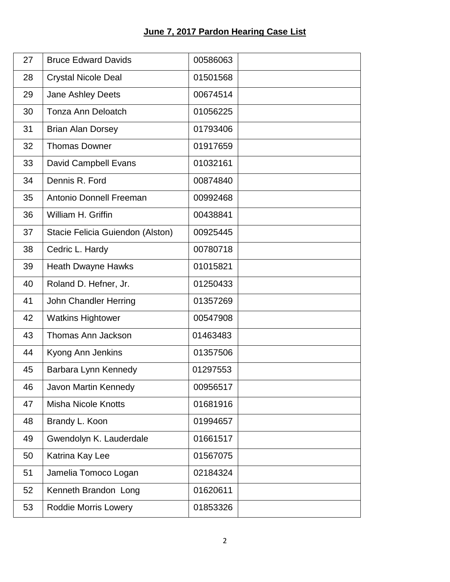## **June 7, 2017 Pardon Hearing Case List**

| 27 | <b>Bruce Edward Davids</b>       | 00586063 |
|----|----------------------------------|----------|
| 28 | <b>Crystal Nicole Deal</b>       | 01501568 |
| 29 | Jane Ashley Deets                | 00674514 |
| 30 | <b>Tonza Ann Deloatch</b>        | 01056225 |
| 31 | <b>Brian Alan Dorsey</b>         | 01793406 |
| 32 | <b>Thomas Downer</b>             | 01917659 |
| 33 | David Campbell Evans             | 01032161 |
| 34 | Dennis R. Ford                   | 00874840 |
| 35 | Antonio Donnell Freeman          | 00992468 |
| 36 | William H. Griffin               | 00438841 |
| 37 | Stacie Felicia Guiendon (Alston) | 00925445 |
| 38 | Cedric L. Hardy                  | 00780718 |
| 39 | <b>Heath Dwayne Hawks</b>        | 01015821 |
| 40 | Roland D. Hefner, Jr.            | 01250433 |
| 41 | John Chandler Herring            | 01357269 |
| 42 | <b>Watkins Hightower</b>         | 00547908 |
| 43 | <b>Thomas Ann Jackson</b>        | 01463483 |
| 44 | Kyong Ann Jenkins                | 01357506 |
| 45 | Barbara Lynn Kennedy             | 01297553 |
| 46 | Javon Martin Kennedy             | 00956517 |
| 47 | <b>Misha Nicole Knotts</b>       | 01681916 |
| 48 | Brandy L. Koon                   | 01994657 |
| 49 | Gwendolyn K. Lauderdale          | 01661517 |
| 50 | Katrina Kay Lee                  | 01567075 |
| 51 | Jamelia Tomoco Logan             | 02184324 |
| 52 | Kenneth Brandon Long             | 01620611 |
| 53 | <b>Roddie Morris Lowery</b>      | 01853326 |